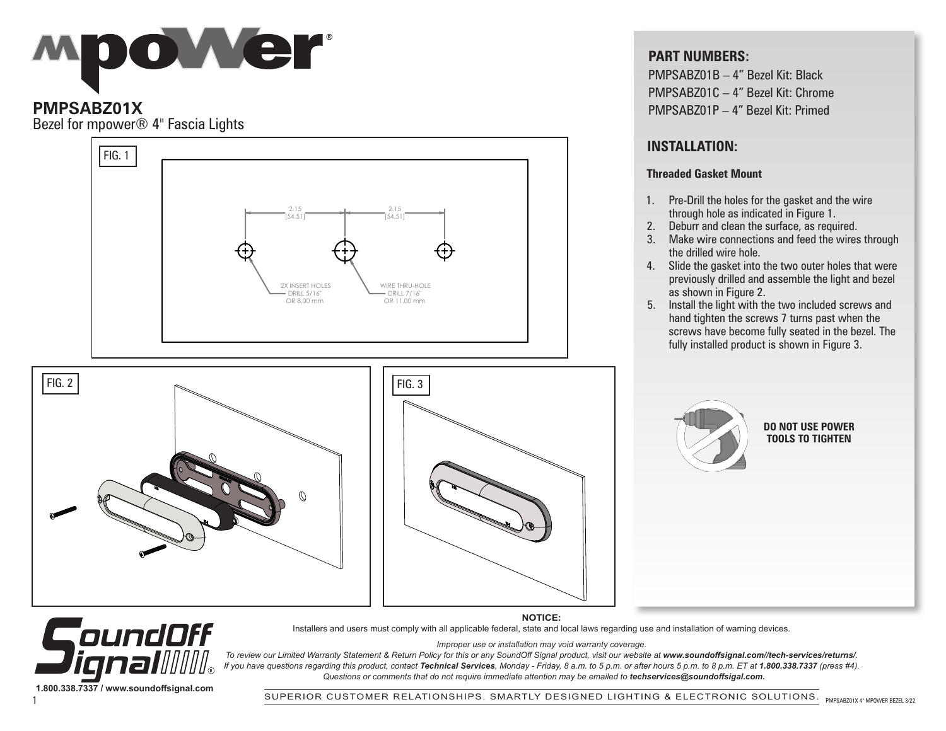

# **PMPSABZ01X**

Bezel for mpower® 4" Fascia Lights



## **PART NUMBERS:**

PMPSABZ01B – 4" Bezel Kit: Black PMPSABZ01C – 4" Bezel Kit: Chrome PMPSABZ01P – 4" Bezel Kit: Primed

## **INSTALLATION:**

#### **Threaded Gasket Mount**

- 1. Pre-Drill the holes for the gasket and the wire through hole as indicated in Figure 1.
- 2. Deburr and clean the surface, as required.
- 3. Make wire connections and feed the wires through the drilled wire hole.
- 4. Slide the gasket into the two outer holes that were previously drilled and assemble the light and bezel as shown in Figure 2.
- 5. Install the light with the two included screws and hand tighten the screws 7 turns past when the screws have become fully seated in the bezel. The fully installed product is shown in Figure 3.



#### **DO NOT USE POWER TOOLS TO TIGHTEN**

CoundOff /∐∥⊚ **1.800.338.7337 / www.soundoffsignal.com**

**NOTICE:** Installers and users must comply with all applicable federal, state and local laws regarding use and installation of warning devices.

*Improper use or installation may void warranty coverage.*

To review our Limited Warranty Statement & Return Policy for this or any SoundOff Signal product, visit our website at www.soundoffsignal.com//tech-services/returns/. *If you have questions regarding this product, contact Technical Services, Monday - Friday, 8 a.m. to 5 p.m. or after hours 5 p.m. to 8 p.m. ET at 1.800.338.7337 (press #4). Questions or comments that do not require immediate attention may be emailed to techservices@soundoffsigal.com.*

SUPERIOR CUSTOMER RELATIONSHIPS. SMARTLY DESIGNED LIGHTING & ELECTRONIC SOLUTIONS. 1